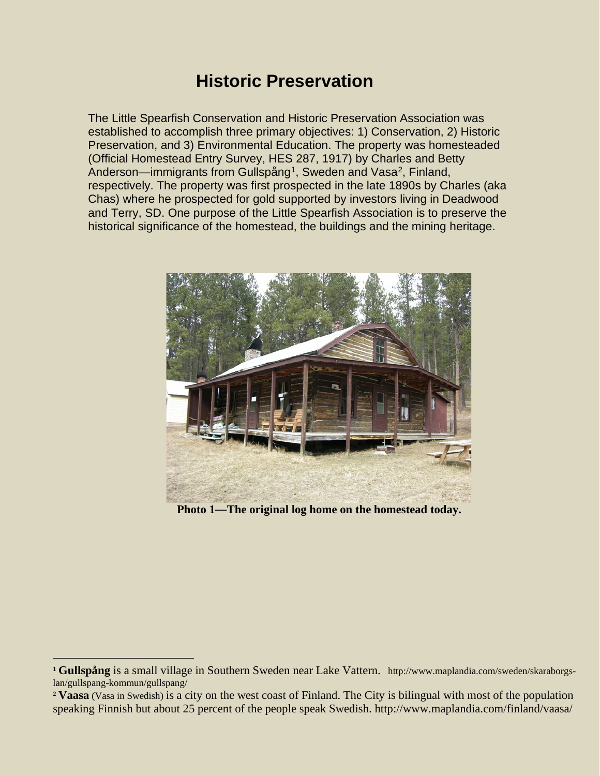## **Historic Preservation**

The Little Spearfish Conservation and Historic Preservation Association was established to accomplish three primary objectives: 1) Conservation, 2) Historic Preservation, and 3) Environmental Education. The property was homesteaded (Official Homestead Entry Survey, HES 287, 1917) by Charles and Betty Anderson—immigrants from Gullspång<sup>1</sup>, Sweden and Vasa<sup>2</sup>, Finland, respectively. The property was first prospected in the late 1890s by Charles (aka Chas) where he prospected for gold supported by investors living in Deadwood and Terry, SD. One purpose of the Little Spearfish Association is to preserve the historical significance of the homestead, the buildings and the mining heritage.



**Photo 1**—**The original log home on the homestead today.**

<span id="page-0-0"></span>**<sup>1</sup> Gullspång** is a small village in Southern Sweden near Lake Vattern. http://www.maplandia.com/sweden/skaraborgslan/gullspang-kommun/gullspang/

<span id="page-0-1"></span>**<sup>2</sup> Vaasa** (Vasa in Swedish) is a city on the west coast of Finland. The City is bilingual with most of the population speaking Finnish but about 25 percent of the people speak Swedish. http://www.maplandia.com/finland/vaasa/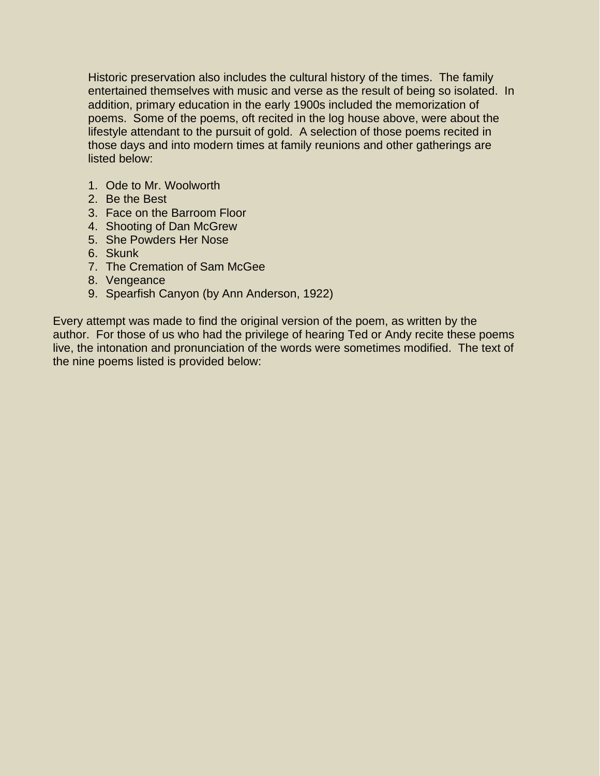Historic preservation also includes the cultural history of the times. The family entertained themselves with music and verse as the result of being so isolated. In addition, primary education in the early 1900s included the memorization of poems. Some of the poems, oft recited in the log house above, were about the lifestyle attendant to the pursuit of gold. A selection of those poems recited in those days and into modern times at family reunions and other gatherings are listed below:

- 1. Ode to Mr. Woolworth
- 2. Be the Best
- 3. Face on the Barroom Floor
- 4. Shooting of Dan McGrew
- 5. She Powders Her Nose
- 6. Skunk
- 7. The Cremation of Sam McGee
- 8. Vengeance
- 9. Spearfish Canyon (by Ann Anderson, 1922)

Every attempt was made to find the original version of the poem, as written by the author. For those of us who had the privilege of hearing Ted or Andy recite these poems live, the intonation and pronunciation of the words were sometimes modified. The text of the nine poems listed is provided below: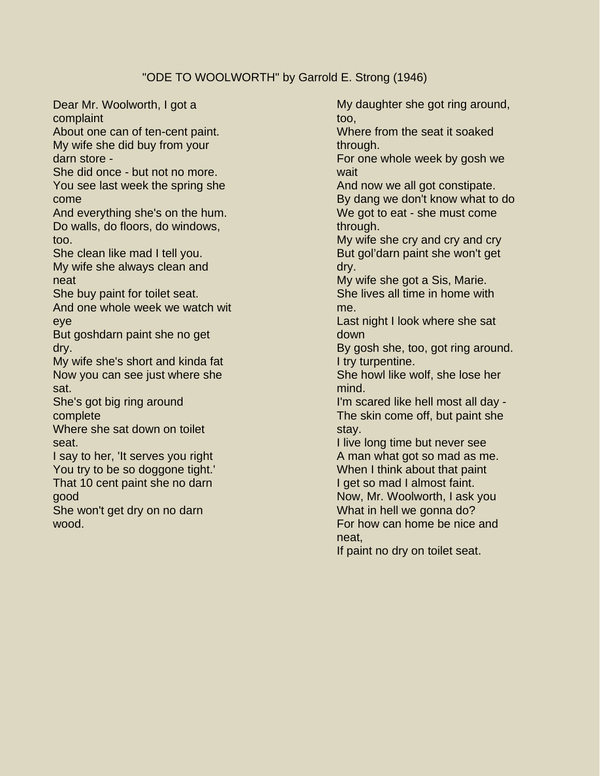#### "ODE TO WOOLWORTH" by Garrold E. Strong (1946)

Dear Mr. Woolworth, I got a complaint About one can of ten-cent paint. My wife she did buy from your darn store - She did once - but not no more. You see last week the spring she come And everything she's on the hum. Do walls, do floors, do windows, too. She clean like mad I tell you. My wife she always clean and neat She buy paint for toilet seat. And one whole week we watch wit eye But goshdarn paint she no get dry. My wife she's short and kinda fat Now you can see just where she sat. She's got big ring around complete Where she sat down on toilet seat. I say to her, 'It serves you right You try to be so doggone tight.' That 10 cent paint she no darn good She won't get dry on no darn wood.

My daughter she got ring around, too,

Where from the seat it soaked through.

For one whole week by gosh we wait

And now we all got constipate. By dang we don't know what to do We got to eat - she must come through.

My wife she cry and cry and cry But gol'darn paint she won't get dry.

My wife she got a Sis, Marie. She lives all time in home with me.

Last night I look where she sat down

By gosh she, too, got ring around. I try turpentine.

She howl like wolf, she lose her mind.

I'm scared like hell most all day - The skin come off, but paint she stay.

I live long time but never see A man what got so mad as me. When I think about that paint I get so mad I almost faint. Now, Mr. Woolworth, I ask you What in hell we gonna do? For how can home be nice and neat,

If paint no dry on toilet seat.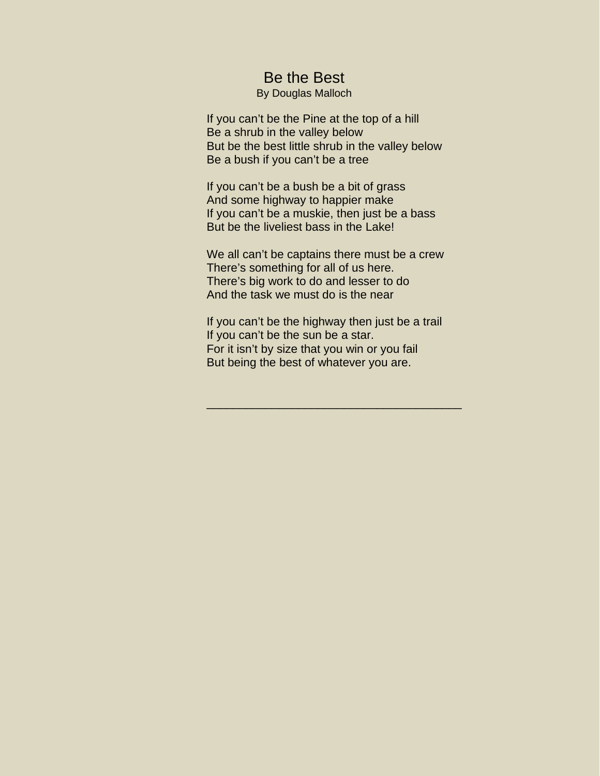### Be the Best

By Douglas Malloch

If you can't be the Pine at the top of a hill Be a shrub in the valley below But be the best little shrub in the valley below Be a bush if you can't be a tree

If you can't be a bush be a bit of grass And some highway to happier make If you can't be a muskie, then just be a bass But be the liveliest bass in the Lake!

We all can't be captains there must be a crew There's something for all of us here. There's big work to do and lesser to do And the task we must do is the near

If you can't be the highway then just be a trail If you can't be the sun be a star. For it isn't by size that you win or you fail But being the best of whatever you are.

\_\_\_\_\_\_\_\_\_\_\_\_\_\_\_\_\_\_\_\_\_\_\_\_\_\_\_\_\_\_\_\_\_\_\_\_\_\_\_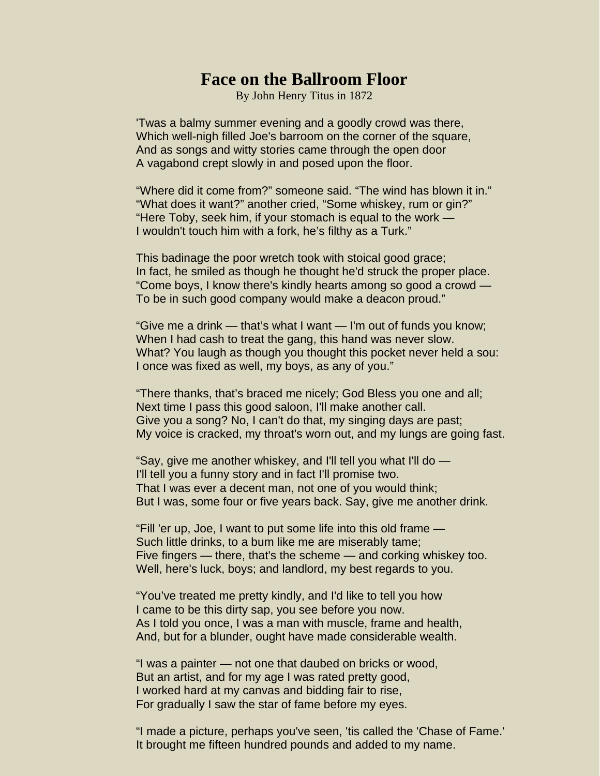## **Face on the Ballroom Floor**

By John Henry Titus in 1872

'Twas a balmy summer evening and a goodly crowd was there, Which well-nigh filled Joe's barroom on the corner of the square, And as songs and witty stories came through the open door A vagabond crept slowly in and posed upon the floor.

"Where did it come from?" someone said. "The wind has blown it in." "What does it want?" another cried, "Some whiskey, rum or gin?" "Here Toby, seek him, if your stomach is equal to the work — I wouldn't touch him with a fork, he's filthy as a Turk."

This badinage the poor wretch took with stoical good grace; In fact, he smiled as though he thought he'd struck the proper place. "Come boys, I know there's kindly hearts among so good a crowd — To be in such good company would make a deacon proud."

"Give me a drink — that's what I want — I'm out of funds you know; When I had cash to treat the gang, this hand was never slow. What? You laugh as though you thought this pocket never held a sou: I once was fixed as well, my boys, as any of you."

"There thanks, that's braced me nicely; God Bless you one and all; Next time I pass this good saloon, I'll make another call. Give you a song? No, I can't do that, my singing days are past; My voice is cracked, my throat's worn out, and my lungs are going fast.

"Say, give me another whiskey, and I'll tell you what I'll do — I'll tell you a funny story and in fact I'll promise two. That I was ever a decent man, not one of you would think; But I was, some four or five years back. Say, give me another drink.

"Fill 'er up, Joe, I want to put some life into this old frame — Such little drinks, to a bum like me are miserably tame; Five fingers — there, that's the scheme — and corking whiskey too. Well, here's luck, boys; and landlord, my best regards to you.

"You've treated me pretty kindly, and I'd like to tell you how I came to be this dirty sap, you see before you now. As I told you once, I was a man with muscle, frame and health, And, but for a blunder, ought have made considerable wealth.

"I was a painter — not one that daubed on bricks or wood, But an artist, and for my age I was rated pretty good, I worked hard at my canvas and bidding fair to rise, For gradually I saw the star of fame before my eyes.

"I made a picture, perhaps you've seen, 'tis called the 'Chase of Fame.' It brought me fifteen hundred pounds and added to my name.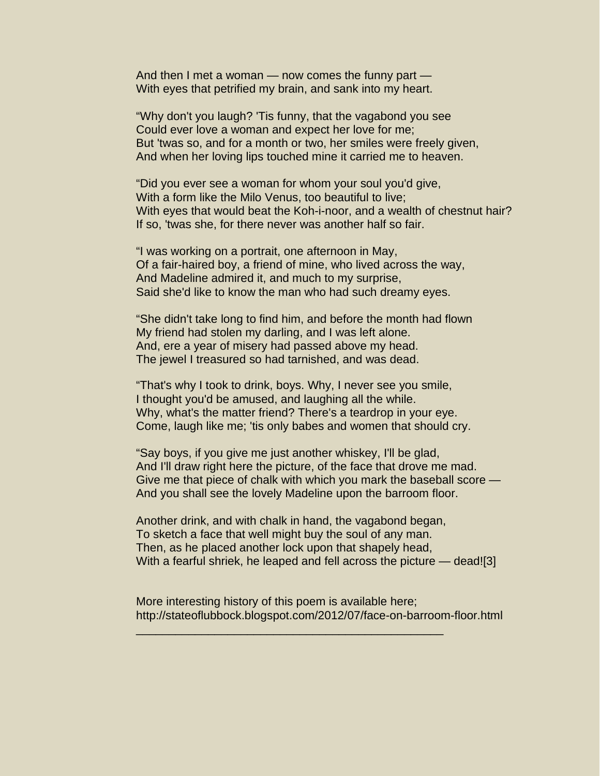And then I met a woman — now comes the funny part — With eyes that petrified my brain, and sank into my heart.

"Why don't you laugh? 'Tis funny, that the vagabond you see Could ever love a woman and expect her love for me; But 'twas so, and for a month or two, her smiles were freely given, And when her loving lips touched mine it carried me to heaven.

"Did you ever see a woman for whom your soul you'd give, With a form like the Milo Venus, too beautiful to live; With eyes that would beat the Koh-i-noor, and a wealth of chestnut hair? If so, 'twas she, for there never was another half so fair.

"I was working on a portrait, one afternoon in May, Of a fair-haired boy, a friend of mine, who lived across the way, And Madeline admired it, and much to my surprise, Said she'd like to know the man who had such dreamy eyes.

"She didn't take long to find him, and before the month had flown My friend had stolen my darling, and I was left alone. And, ere a year of misery had passed above my head. The jewel I treasured so had tarnished, and was dead.

"That's why I took to drink, boys. Why, I never see you smile, I thought you'd be amused, and laughing all the while. Why, what's the matter friend? There's a teardrop in your eye. Come, laugh like me; 'tis only babes and women that should cry.

"Say boys, if you give me just another whiskey, I'll be glad, And I'll draw right here the picture, of the face that drove me mad. Give me that piece of chalk with which you mark the baseball score — And you shall see the lovely Madeline upon the barroom floor.

Another drink, and with chalk in hand, the vagabond began, To sketch a face that well might buy the soul of any man. Then, as he placed another lock upon that shapely head, With a fearful shriek, he leaped and fell across the picture — dead![3]

More interesting history of this poem is available here; http://stateoflubbock.blogspot.com/2012/07/face-on-barroom-floor.html

\_\_\_\_\_\_\_\_\_\_\_\_\_\_\_\_\_\_\_\_\_\_\_\_\_\_\_\_\_\_\_\_\_\_\_\_\_\_\_\_\_\_\_\_\_\_\_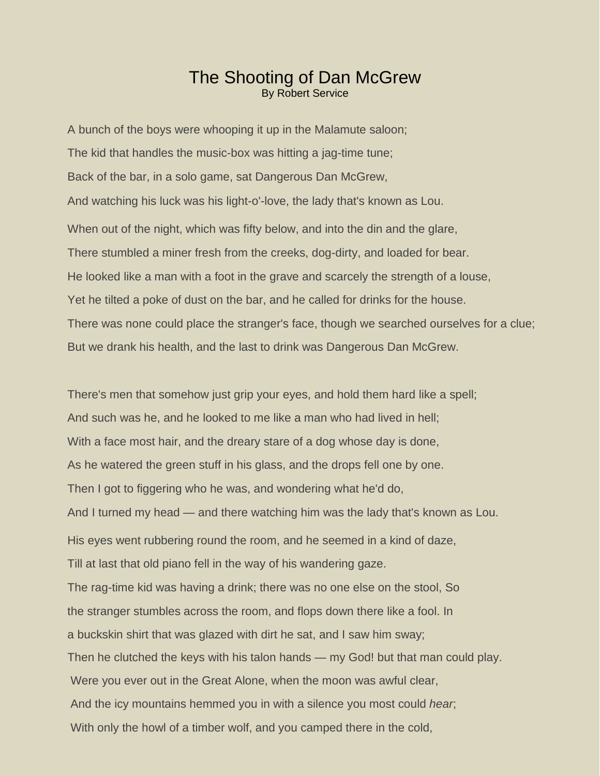#### **The Shooting of Dan McGrew** By Robert Service

A bunch of the boys were whooping it up in the Malamute saloon; The kid that handles the music-box was hitting a jag-time tune; Back of the bar, in a solo game, sat Dangerous Dan McGrew, And watching his luck was his light-o'-love, the lady that's known as Lou. When out of the night, which was fifty below, and into the din and the glare, There stumbled a miner fresh from the creeks, dog-dirty, and loaded for bear. He looked like a man with a foot in the grave and scarcely the strength of a louse, Yet he tilted a poke of dust on the bar, and he called for drinks for the house. There was none could place the stranger's face, though we searched ourselves for a clue; But we drank his health, and the last to drink was Dangerous Dan McGrew.

There's men that somehow just grip your eyes, and hold them hard like a spell; And such was he, and he looked to me like a man who had lived in hell; With a face most hair, and the dreary stare of a dog whose day is done, As he watered the green stuff in his glass, and the drops fell one by one. Then I got to figgering who he was, and wondering what he'd do, And I turned my head — and there watching him was the lady that's known as Lou. His eyes went rubbering round the room, and he seemed in a kind of daze, Till at last that old piano fell in the way of his wandering gaze. The rag-time kid was having a drink; there was no one else on the stool, So the stranger stumbles across the room, and flops down there like a fool. In a buckskin shirt that was glazed with dirt he sat, and I saw him sway; Then he clutched the keys with his talon hands — my God! but that man could play. Were you ever out in the Great Alone, when the moon was awful clear, And the icy mountains hemmed you in with a silence you most could *hear*; With only the howl of a timber wolf, and you camped there in the cold,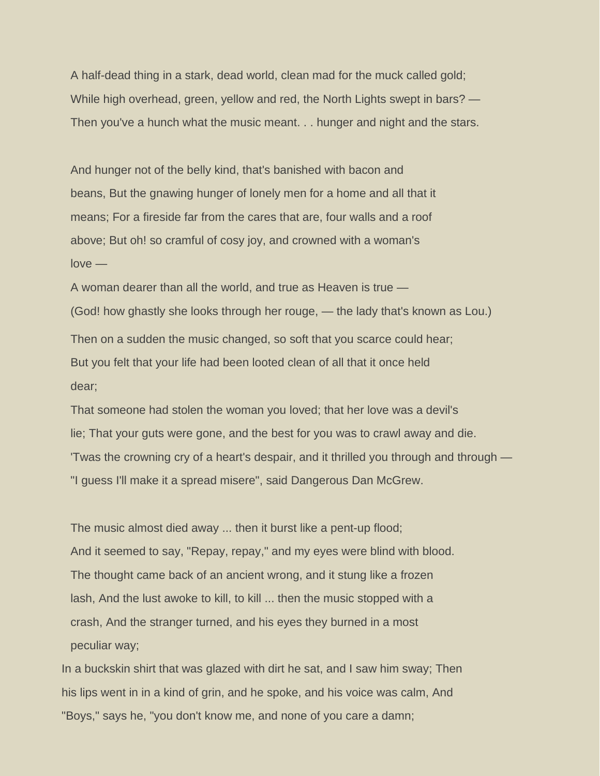A half-dead thing in a stark, dead world, clean mad for the muck called gold; While high overhead, green, yellow and red, the North Lights swept in bars? — Then you've a hunch what the music meant. . . hunger and night and the stars.

And hunger not of the belly kind, that's banished with bacon and beans, But the gnawing hunger of lonely men for a home and all that it means; For a fireside far from the cares that are, four walls and a roof above; But oh! so cramful of cosy joy, and crowned with a woman's love —

A woman dearer than all the world, and true as Heaven is true — (God! how ghastly she looks through her rouge, — the lady that's known as Lou.) Then on a sudden the music changed, so soft that you scarce could hear; But you felt that your life had been looted clean of all that it once held dear;

That someone had stolen the woman you loved; that her love was a devil's lie; That your guts were gone, and the best for you was to crawl away and die. 'Twas the crowning cry of a heart's despair, and it thrilled you through and through — "I guess I'll make it a spread misere", said Dangerous Dan McGrew.

The music almost died away ... then it burst like a pent-up flood; And it seemed to say, "Repay, repay," and my eyes were blind with blood. The thought came back of an ancient wrong, and it stung like a frozen lash, And the lust awoke to kill, to kill ... then the music stopped with a crash, And the stranger turned, and his eyes they burned in a most peculiar way;

In a buckskin shirt that was glazed with dirt he sat, and I saw him sway; Then his lips went in in a kind of grin, and he spoke, and his voice was calm, And "Boys," says he, "you don't know me, and none of you care a damn;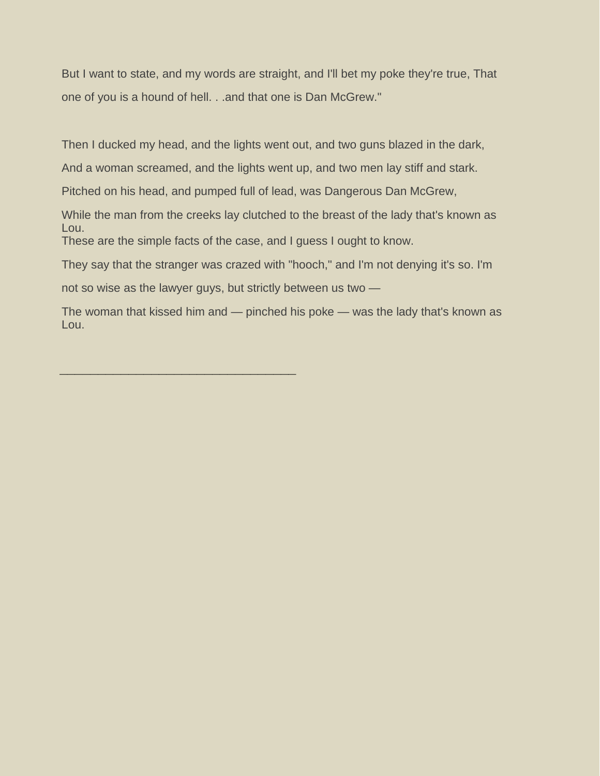But I want to state, and my words are straight, and I'll bet my poke they're true, That one of you is a hound of hell. . .and that one is Dan McGrew."

Then I ducked my head, and the lights went out, and two guns blazed in the dark,

And a woman screamed, and the lights went up, and two men lay stiff and stark.

Pitched on his head, and pumped full of lead, was Dangerous Dan McGrew,

While the man from the creeks lay clutched to the breast of the lady that's known as Lou. These are the simple facts of the case, and I guess I ought to know.

They say that the stranger was crazed with "hooch," and I'm not denying it's so. I'm

not so wise as the lawyer guys, but strictly between us two —

**\_\_\_\_\_\_\_\_\_\_\_\_\_\_\_\_\_\_\_\_\_\_\_\_\_\_\_\_\_\_\_**

The woman that kissed him and — pinched his poke — was the lady that's known as Lou.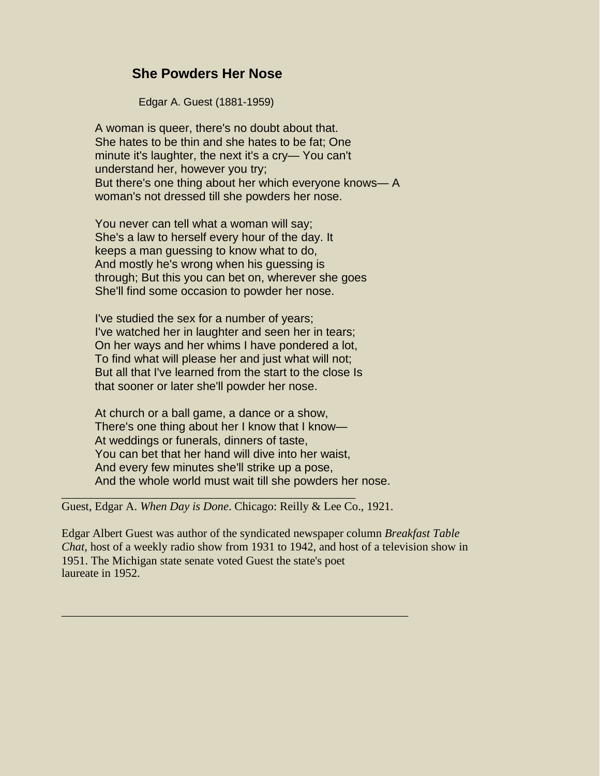#### **She Powders Her Nose**

Edgar A. Guest (1881-1959)

A woman is queer, there's no doubt about that. She hates to be thin and she hates to be fat; One minute it's laughter, the next it's a cry— You can't understand her, however you try; But there's one thing about her which everyone knows— A woman's not dressed till she powders her nose.

You never can tell what a woman will say; She's a law to herself every hour of the day. It keeps a man guessing to know what to do, And mostly he's wrong when his guessing is through; But this you can bet on, wherever she goes She'll find some occasion to powder her nose.

I've studied the sex for a number of years; I've watched her in laughter and seen her in tears; On her ways and her whims I have pondered a lot, To find what will please her and just what will not; But all that I've learned from the start to the close Is that sooner or later she'll powder her nose.

At church or a ball game, a dance or a show, There's one thing about her I know that I know— At weddings or funerals, dinners of taste, You can bet that her hand will dive into her waist, And every few minutes she'll strike up a pose, And the whole world must wait till she powders her nose.

Guest, Edgar A. *When Day is Done*. Chicago: Reilly & Lee Co., 1921.

\_\_\_\_\_\_\_\_\_\_\_\_\_\_\_\_\_\_\_\_\_\_\_\_\_\_\_\_\_\_\_\_\_\_\_\_\_\_\_\_\_\_\_\_\_\_\_\_\_\_\_\_\_\_\_\_\_\_\_

\_\_\_\_\_\_\_\_\_\_\_\_\_\_\_\_\_\_\_\_\_\_\_\_\_\_\_\_\_\_\_\_\_\_\_\_\_\_\_\_\_\_\_\_\_\_\_\_\_\_

Edgar Albert Guest was author of the syndicated newspaper column *Breakfast Table Chat*, host of a weekly radio show from 1931 to 1942, and host of a television show in 1951. The Michigan state senate voted Guest the state's poet laureate in 1952.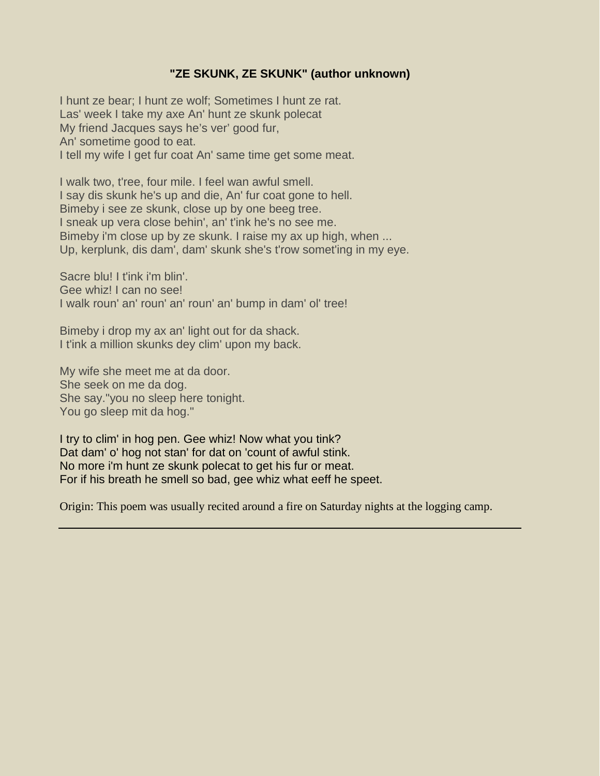#### **"ZE SKUNK, ZE SKUNK" (author unknown)**

I hunt ze bear; I hunt ze wolf; Sometimes I hunt ze rat. Las' week I take my axe An' hunt ze skunk polecat My friend Jacques says he's ver' good fur, An' sometime good to eat. I tell my wife I get fur coat An' same time get some meat.

I walk two, t'ree, four mile. I feel wan awful smell. I say dis skunk he's up and die, An' fur coat gone to hell. Bimeby i see ze skunk, close up by one beeg tree. I sneak up vera close behin', an' t'ink he's no see me. Bimeby i'm close up by ze skunk. I raise my ax up high, when ... Up, kerplunk, dis dam', dam' skunk she's t'row somet'ing in my eye.

Sacre blu! I t'ink i'm blin'. Gee whiz! I can no see! I walk roun' an' roun' an' roun' an' bump in dam' ol' tree!

Bimeby i drop my ax an' light out for da shack. I t'ink a million skunks dey clim' upon my back.

My wife she meet me at da door. She seek on me da dog. She say."you no sleep here tonight. You go sleep mit da hog."

I try to clim' in hog pen. Gee whiz! Now what you tink? Dat dam' o' hog not stan' for dat on 'count of awful stink. No more i'm hunt ze skunk polecat to get his fur or meat. For if his breath he smell so bad, gee whiz what eeff he speet.

Origin: This poem was usually recited around a fire on Saturday nights at the logging camp.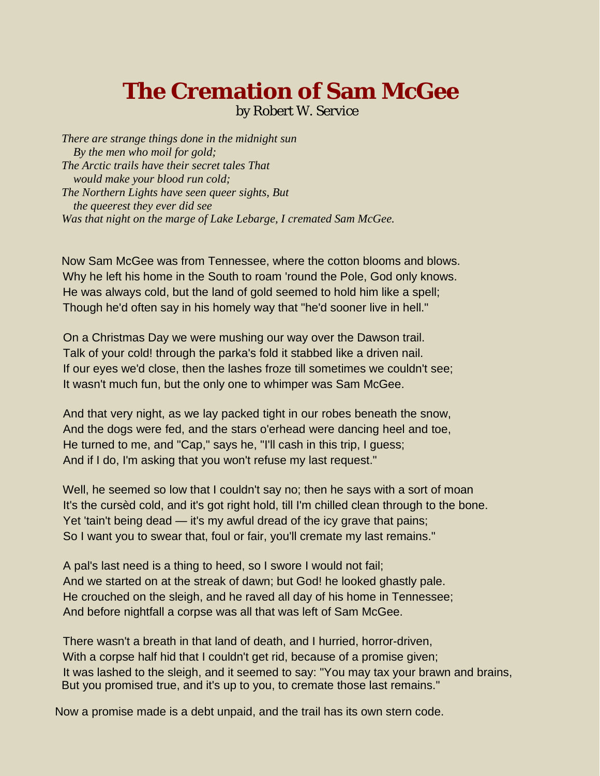# **The Cremation of Sam McGee**

by Robert W. Service

*There are strange things done in the midnight sun By the men who moil for gold; The Arctic trails have their secret tales That would make your blood run cold; The Northern Lights have seen queer sights, But the queerest they ever did see Was that night on the marge of Lake Lebarge, I cremated Sam McGee.*

Now Sam McGee was from Tennessee, where the cotton blooms and blows. Why he left his home in the South to roam 'round the Pole, God only knows. He was always cold, but the land of gold seemed to hold him like a spell; Though he'd often say in his homely way that "he'd sooner live in hell."

On a Christmas Day we were mushing our way over the Dawson trail. Talk of your cold! through the parka's fold it stabbed like a driven nail. If our eyes we'd close, then the lashes froze till sometimes we couldn't see; It wasn't much fun, but the only one to whimper was Sam McGee.

And that very night, as we lay packed tight in our robes beneath the snow, And the dogs were fed, and the stars o'erhead were dancing heel and toe, He turned to me, and "Cap," says he, "I'll cash in this trip, I guess; And if I do, I'm asking that you won't refuse my last request."

Well, he seemed so low that I couldn't say no; then he says with a sort of moan It's the cursèd cold, and it's got right hold, till I'm chilled clean through to the bone. Yet 'tain't being dead — it's my awful dread of the icy grave that pains; So I want you to swear that, foul or fair, you'll cremate my last remains."

A pal's last need is a thing to heed, so I swore I would not fail; And we started on at the streak of dawn; but God! he looked ghastly pale. He crouched on the sleigh, and he raved all day of his home in Tennessee; And before nightfall a corpse was all that was left of Sam McGee.

There wasn't a breath in that land of death, and I hurried, horror-driven, With a corpse half hid that I couldn't get rid, because of a promise given; It was lashed to the sleigh, and it seemed to say: "You may tax your brawn and brains, But you promised true, and it's up to you, to cremate those last remains."

Now a promise made is a debt unpaid, and the trail has its own stern code.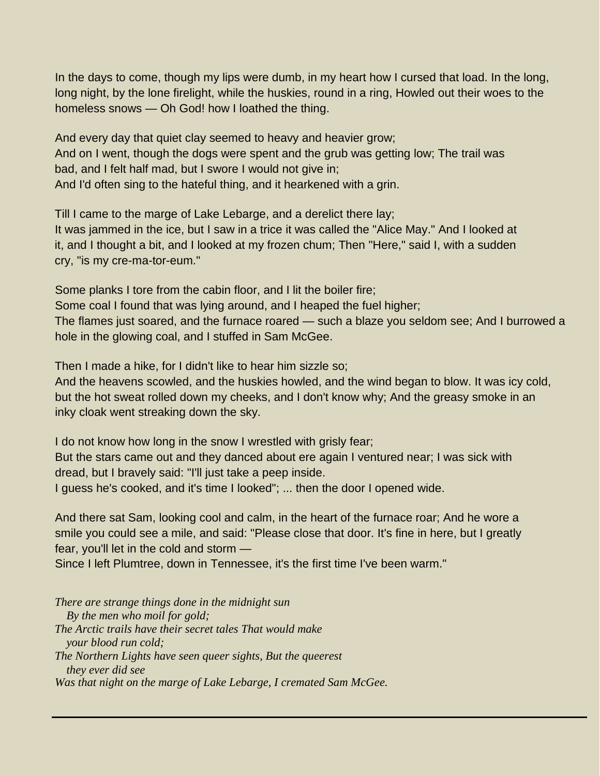In the days to come, though my lips were dumb, in my heart how I cursed that load. In the long, long night, by the lone firelight, while the huskies, round in a ring, Howled out their woes to the homeless snows — Oh God! how I loathed the thing.

And every day that quiet clay seemed to heavy and heavier grow; And on I went, though the dogs were spent and the grub was getting low; The trail was bad, and I felt half mad, but I swore I would not give in; And I'd often sing to the hateful thing, and it hearkened with a grin.

Till I came to the marge of Lake Lebarge, and a derelict there lay; It was jammed in the ice, but I saw in a trice it was called the "Alice May." And I looked at it, and I thought a bit, and I looked at my frozen chum; Then "Here," said I, with a sudden cry, "is my cre-ma-tor-eum."

Some planks I tore from the cabin floor, and I lit the boiler fire; Some coal I found that was lying around, and I heaped the fuel higher;

The flames just soared, and the furnace roared — such a blaze you seldom see; And I burrowed a hole in the glowing coal, and I stuffed in Sam McGee.

Then I made a hike, for I didn't like to hear him sizzle so;

And the heavens scowled, and the huskies howled, and the wind began to blow. It was icy cold, but the hot sweat rolled down my cheeks, and I don't know why; And the greasy smoke in an inky cloak went streaking down the sky.

I do not know how long in the snow I wrestled with grisly fear;

But the stars came out and they danced about ere again I ventured near; I was sick with dread, but I bravely said: "I'll just take a peep inside.

I guess he's cooked, and it's time I looked"; ... then the door I opened wide.

And there sat Sam, looking cool and calm, in the heart of the furnace roar; And he wore a smile you could see a mile, and said: "Please close that door. It's fine in here, but I greatly fear, you'll let in the cold and storm —

Since I left Plumtree, down in Tennessee, it's the first time I've been warm."

*There are strange things done in the midnight sun By the men who moil for gold; The Arctic trails have their secret tales That would make your blood run cold; The Northern Lights have seen queer sights, But the queerest they ever did see Was that night on the marge of Lake Lebarge, I cremated Sam McGee.*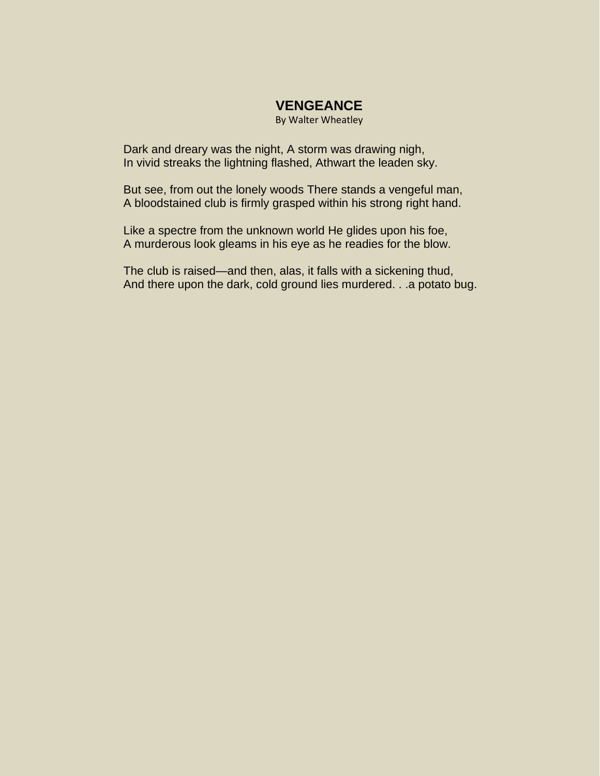#### **VENGEANCE**

By Walter Wheatley

Dark and dreary was the night, A storm was drawing nigh, In vivid streaks the lightning flashed, Athwart the leaden sky.

But see, from out the lonely woods There stands a vengeful man, A bloodstained club is firmly grasped within his strong right hand.

Like a spectre from the unknown world He glides upon his foe, A murderous look gleams in his eye as he readies for the blow.

The club is raised—and then, alas, it falls with a sickening thud, And there upon the dark, cold ground lies murdered. . .a potato bug.